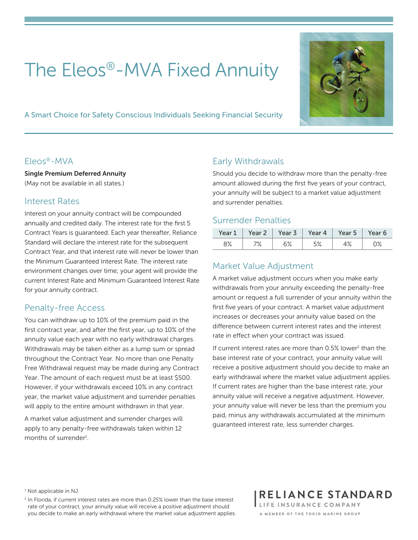# The Eleos®-MVA Fixed Annuity

A Smart Choice for Safety Conscious Individuals Seeking Financial Security



#### Eleos®-MVA

Single Premium Deferred Annuity (May not be available in all states.)

#### Interest Rates

Interest on your annuity contract will be compounded annually and credited daily. The interest rate for the first 5 Contract Years is guaranteed. Each year thereafter, Reliance Standard will declare the interest rate for the subsequent Contract Year, and that interest rate will never be lower than the Minimum Guaranteed Interest Rate. The interest rate environment changes over time; your agent will provide the current Interest Rate and Minimum Guaranteed Interest Rate for your annuity contract.

#### Penalty-free Access

You can withdraw up to 10% of the premium paid in the first contract year, and after the first year, up to 10% of the annuity value each year with no early withdrawal charges. Withdrawals may be taken either as a lump sum or spread throughout the Contract Year. No more than one Penalty Free Withdrawal request may be made during any Contract Year. The amount of each request must be at least \$500. However, if your withdrawals exceed 10% in any contract year, the market value adjustment and surrender penalties will apply to the entire amount withdrawn in that year.

A market value adjustment and surrender charges will apply to any penalty-free withdrawals taken within 12 months of surrender<sup>1</sup>.

### Early Withdrawals

Should you decide to withdraw more than the penalty-free amount allowed during the first five years of your contract, your annuity will be subject to a market value adjustment and surrender penalties.

#### Surrender Penalties

| Year l | Year 2 | Year 3 | Year 4         | Year 5 | 'ear 6 |
|--------|--------|--------|----------------|--------|--------|
| ೧%     | 70     | cο,    | E <sub>O</sub> | 10.    | ٦٥.    |
| ⊙ ∕ο   |        | ∪ ∕∘   | ە⁄ ب           | † ⁄o   | ∪ ∕∘   |

### Market Value Adjustment

A market value adjustment occurs when you make early withdrawals from your annuity exceeding the penalty-free amount or request a full surrender of your annuity within the first five years of your contract. A market value adjustment increases or decreases your annuity value based on the difference between current interest rates and the interest rate in effect when your contract was issued.

If current interest rates are more than 0.5% lower<sup>2</sup> than the base interest rate of your contract, your annuity value will receive a positive adjustment should you decide to make an early withdrawal where the market value adjustment applies. If current rates are higher than the base interest rate, your annuity value will receive a negative adjustment. However, your annuity value will never be less than the premium you paid, minus any withdrawals accumulated at the minimum guaranteed interest rate, less surrender charges.

<sup>1</sup> Not applicable in NJ.

 $2$  In Florida, if current interest rates are more than 0.25% lower than the base interest rate of your contract, your annuity value will receive a positive adjustment should you decide to make an early withdrawal where the market value adjustment applies. RELIANCE STANDARD LIFE INSURANCE COMPANY A MEMBER OF THE TOKIO MARINE GROUP